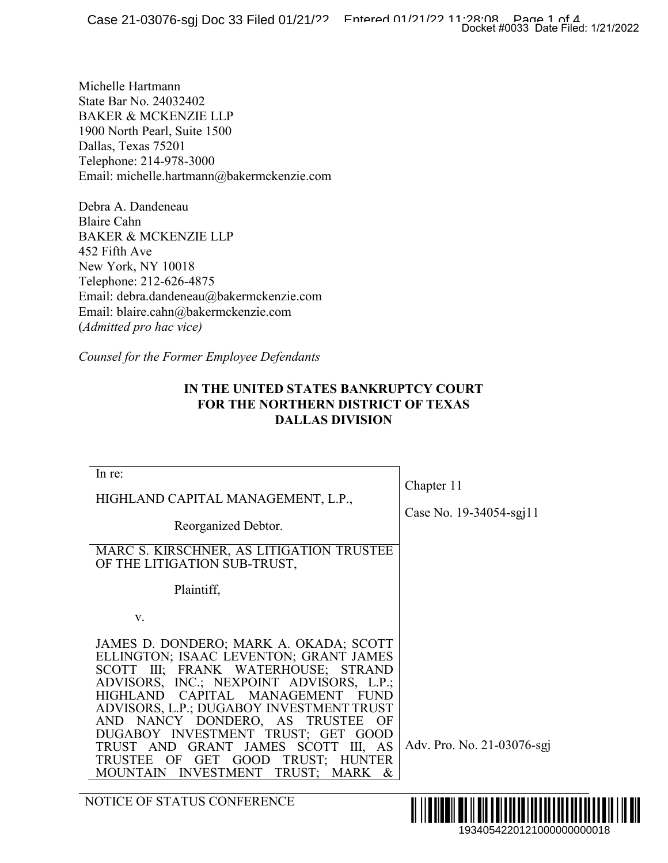## **IN THE UNITED STATES BANKRUPTCY COURT FOR THE NORTHERN DISTRICT OF TEXAS DALLAS DIVISION**

|                                                                                                                                                                                                                                                                                                                                                                                                                                                                                      | Docket #0033 Date Filed: 1/21/2022    |
|--------------------------------------------------------------------------------------------------------------------------------------------------------------------------------------------------------------------------------------------------------------------------------------------------------------------------------------------------------------------------------------------------------------------------------------------------------------------------------------|---------------------------------------|
| ichelle Hartmann<br>tate Bar No. 24032402<br><b>AKER &amp; MCKENZIE LLP</b><br>900 North Pearl, Suite 1500<br>)allas, Texas 75201<br>elephone: 214-978-3000<br>mail: michelle.hartmann@bakermckenzie.com                                                                                                                                                                                                                                                                             |                                       |
| ebra A. Dandeneau<br>laire Cahn<br>AKER & MCKENZIE LLP<br>52 Fifth Ave<br>Jew York, NY 10018<br>elephone: 212-626-4875<br>mail: debra.dandeneau@bakermckenzie.com<br>mail: blaire.cahn@bakermckenzie.com<br>Admitted pro hac vice)<br>Counsel for the Former Employee Defendants                                                                                                                                                                                                     |                                       |
| IN THE UNITED STATES BANKRUPTCY COURT<br><b>FOR THE NORTHERN DISTRICT OF TEXAS</b><br><b>DALLAS DIVISION</b>                                                                                                                                                                                                                                                                                                                                                                         |                                       |
| In re:<br>HIGHLAND CAPITAL MANAGEMENT, L.P.,<br>Reorganized Debtor.<br>MARC S. KIRSCHNER, AS LITIGATION TRUSTEE<br>OF THE LITIGATION SUB-TRUST,<br>Plaintiff,                                                                                                                                                                                                                                                                                                                        | Chapter 11<br>Case No. 19-34054-sgj11 |
| V.<br>JAMES D. DONDERO; MARK A. OKADA; SCOTT<br>ELLINGTON; ISAAC LEVENTON; GRANT JAMES<br>SCOTT III; FRANK WATERHOUSE; STRAND<br>ADVISORS, INC.; NEXPOINT ADVISORS, L.P.;<br>CAPITAL MANAGEMENT<br><b>HIGHLAND</b><br><b>FUND</b><br>ADVISORS, L.P.; DUGABOY INVESTMENT TRUST<br>AND NANCY DONDERO, AS<br>TRUSTEE<br>OF<br>DUGABOY INVESTMENT TRUST; GET GOOD<br>TRUST AND GRANT JAMES SCOTT III, AS<br>TRUST; HUNTER<br>TRUSTEE OF GET GOOD<br>MOUNTAIN INVESTMENT<br>TRUST; MARK & | Adv. Pro. No. 21-03076-sgj            |
| NOTICE OF STATUS CONFERENCE                                                                                                                                                                                                                                                                                                                                                                                                                                                          | IIII<br>1934054220121000000000018     |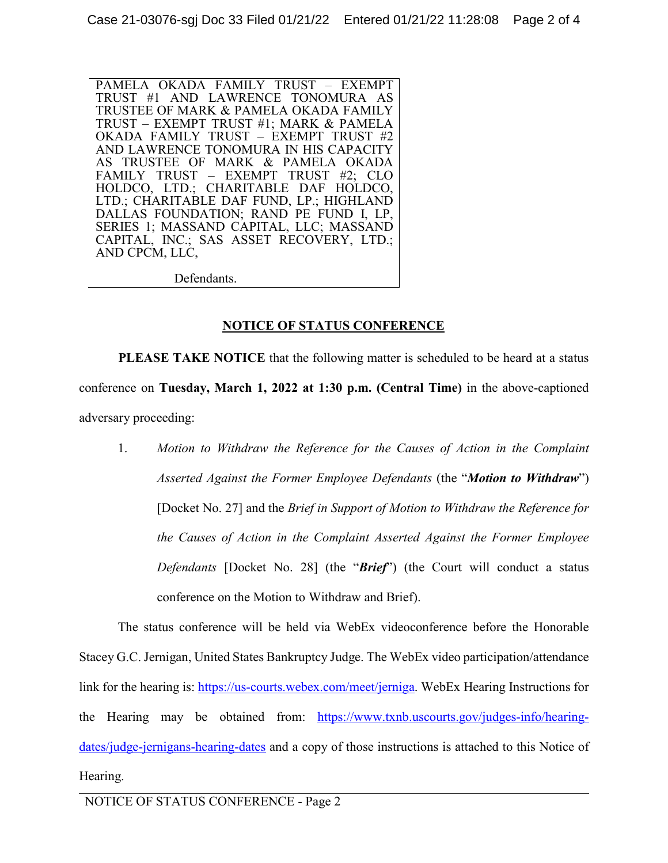PAMELA OKADA FAMILY TRUST – EXEMPT TRUST #1 AND LAWRENCE TONOMURA AS TRUSTEE OF MARK & PAMELA OKADA FAMILY TRUST – EXEMPT TRUST #1; MARK & PAMELA OKADA FAMILY TRUST – EXEMPT TRUST #2 AND LAWRENCE TONOMURA IN HIS CAPACITY AS TRUSTEE OF MARK & PAMELA OKADA FAMILY TRUST – EXEMPT TRUST #2; CLO HOLDCO, LTD.; CHARITABLE DAF HOLDCO, LTD.; CHARITABLE DAF FUND, LP.; HIGHLAND DALLAS FOUNDATION; RAND PE FUND I, LP, SERIES 1; MASSAND CAPITAL, LLC; MASSAND CAPITAL, INC.; SAS ASSET RECOVERY, LTD.; AND CPCM, LLC,

Defendants.

### **NOTICE OF STATUS CONFERENCE**

**PLEASE TAKE NOTICE** that the following matter is scheduled to be heard at a status conference on **Tuesday, March 1, 2022 at 1:30 p.m. (Central Time)** in the above-captioned adversary proceeding:

1. *Motion to Withdraw the Reference for the Causes of Action in the Complaint Asserted Against the Former Employee Defendants* (the "*Motion to Withdraw*") [Docket No. 27] and the *Brief in Support of Motion to Withdraw the Reference for the Causes of Action in the Complaint Asserted Against the Former Employee Defendants* [Docket No. 28] (the "*Brief*") (the Court will conduct a status conference on the Motion to Withdraw and Brief).

The status conference will be held via WebEx videoconference before the Honorable Stacey G.C. Jernigan, United States Bankruptcy Judge. The WebEx video participation/attendance link for the hearing is: https://us-courts.webex.com/meet/jerniga. WebEx Hearing Instructions for the Hearing may be obtained from: https://www.txnb.uscourts.gov/judges-info/hearingdates/judge-jernigans-hearing-dates and a copy of those instructions is attached to this Notice of Hearing.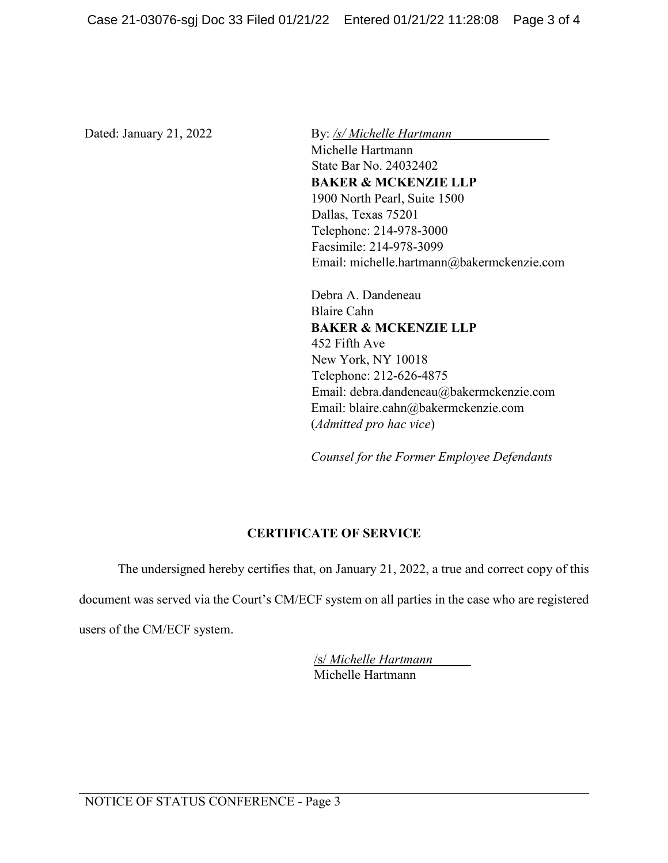Dated: January 21, 2022 By: /s/ Michelle Hartmann Michelle Hartmann State Bar No. 24032402 **BAKER & MCKENZIE LLP** 1900 North Pearl, Suite 1500 Dallas, Texas 75201 Telephone: 214-978-3000 Facsimile: 214-978-3099 Email: michelle.hartmann@bakermckenzie.com

> Debra A. Dandeneau Blaire Cahn **BAKER & MCKENZIE LLP** 452 Fifth Ave New York, NY 10018 Telephone: 212-626-4875 Email: debra.dandeneau@bakermckenzie.com Email: blaire.cahn@bakermckenzie.com (*Admitted pro hac vice*)

*Counsel for the Former Employee Defendants* 

# **CERTIFICATE OF SERVICE**

The undersigned hereby certifies that, on January 21, 2022, a true and correct copy of this

document was served via the Court's CM/ECF system on all parties in the case who are registered

users of the CM/ECF system.

/s/ *Michelle Hartmann* Michelle Hartmann